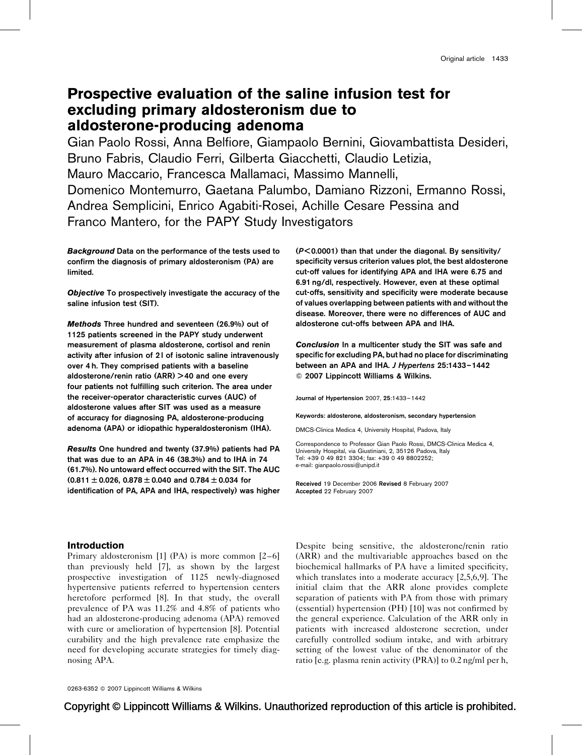# Prospective evaluation of the saline infusion test for excluding primary aldosteronism due to aldosterone-producing adenoma

Gian Paolo Rossi, Anna Belfiore, Giampaolo Bernini, Giovambattista Desideri, Bruno Fabris, Claudio Ferri, Gilberta Giacchetti, Claudio Letizia, Mauro Maccario, Francesca Mallamaci, Massimo Mannelli, Domenico Montemurro, Gaetana Palumbo, Damiano Rizzoni, Ermanno Rossi, Andrea Semplicini, Enrico Agabiti-Rosei, Achille Cesare Pessina and Franco Mantero, for the PAPY Study Investigators

Background Data on the performance of the tests used to confirm the diagnosis of primary aldosteronism (PA) are limited.

Objective To prospectively investigate the accuracy of the saline infusion test (SIT).

Methods Three hundred and seventeen (26.9%) out of 1125 patients screened in the PAPY study underwent measurement of plasma aldosterone, cortisol and renin activity after infusion of 21 of isotonic saline intravenously over 4 h. They comprised patients with a baseline aldosterone/renin ratio (ARR) > 40 and one every four patients not fulfilling such criterion. The area under the receiver-operator characteristic curves (AUC) of aldosterone values after SIT was used as a measure of accuracy for diagnosing PA, aldosterone-producing adenoma (APA) or idiopathic hyperaldosteronism (IHA).

Results One hundred and twenty (37.9%) patients had PA that was due to an APA in 46 (38.3%) and to IHA in 74 (61.7%). No untoward effect occurred with the SIT. The AUC  $(0.811 \pm 0.026, 0.878 \pm 0.040$  and  $0.784 \pm 0.034$  for identification of PA, APA and IHA, respectively) was higher

(P< 0.0001) than that under the diagonal. By sensitivity/ specificity versus criterion values plot, the best aldosterone cut-off values for identifying APA and IHA were 6.75 and 6.91 ng/dl, respectively. However, even at these optimal cut-offs, sensitivity and specificity were moderate because of values overlapping between patients with and without the disease. Moreover, there were no differences of AUC and aldosterone cut-offs between APA and IHA.

Conclusion In a multicenter study the SIT was safe and specific for excluding PA, but had no place for discriminating between an APA and IHA. J Hypertens 25:1433-1442 Q 2007 Lippincott Williams & Wilkins.

Journal of Hypertension 2007, 25:1433–1442

Keywords: aldosterone, aldosteronism, secondary hypertension

DMCS-Clinica Medica 4, University Hospital, Padova, Italy

Correspondence to Professor Gian Paolo Rossi, DMCS-Clinica Medica 4, University Hospital, via Giustiniani, 2, 35126 Padova, Italy Tel: +39 0 49 821 3304; fax: +39 0 49 8802252; e-mail: [gianpaolo.rossi@unipd.it](mailto:gianpaolo.rossi@unipd.it)

Received 19 December 2006 Revised 8 February 2007 Accepted 22 February 2007

#### Introduction

Primary aldosteronism [\[1\]](#page-9-0) (PA) is more common [\[2–6\]](#page-9-0) than previously held [\[7\],](#page-9-0) as shown by the largest prospective investigation of 1125 newly-diagnosed hypertensive patients referred to hypertension centers heretofore performed [\[8\].](#page-9-0) In that study, the overall prevalence of PA was 11.2% and 4.8% of patients who had an aldosterone-producing adenoma (APA) removed with cure or amelioration of hypertension [\[8\].](#page-9-0) Potential curability and the high prevalence rate emphasize the need for developing accurate strategies for timely diagnosing APA.

Despite being sensitive, the aldosterone/renin ratio (ARR) and the multivariable approaches based on the biochemical hallmarks of PA have a limited specificity, which translates into a moderate accuracy [\[2,5,6,9\]](#page-9-0). The initial claim that the ARR alone provides complete separation of patients with PA from those with primary (essential) hypertension (PH) [\[10\]](#page-9-0) was not confirmed by the general experience. Calculation of the ARR only in patients with increased aldosterone secretion, under carefully controlled sodium intake, and with arbitrary setting of the lowest value of the denominator of the ratio [e.g. plasma renin activity (PRA)] to 0.2 ng/ml per h,

0263-6352 © 2007 Lippincott Williams & Wilkins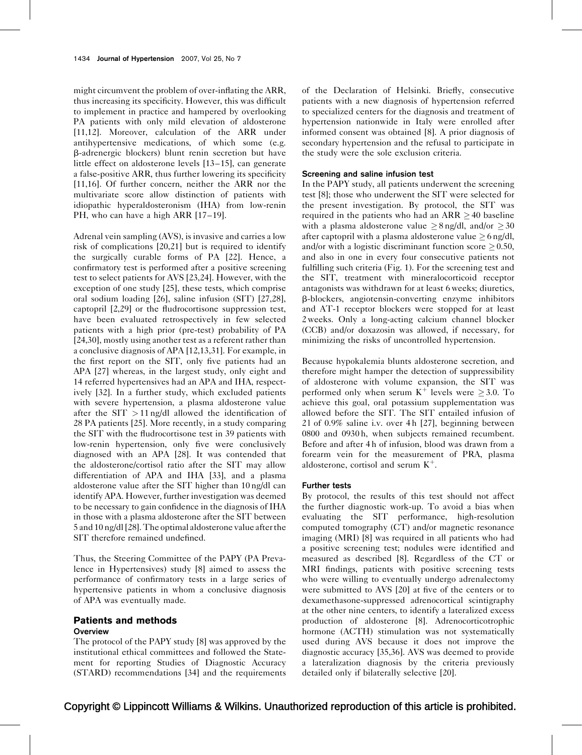might circumvent the problem of over-inflating the ARR, thus increasing its specificity. However, this was difficult to implement in practice and hampered by overlooking PA patients with only mild elevation of aldosterone [\[11,12\].](#page-9-0) Moreover, calculation of the ARR under antihypertensive medications, of which some (e.g. b-adrenergic blockers) blunt renin secretion but have little effect on aldosterone levels [\[13–15\],](#page-9-0) can generate a false-positive ARR, thus further lowering its specificity [\[11,16\].](#page-9-0) Of further concern, neither the ARR nor the multivariate score allow distinction of patients with idiopathic hyperaldosteronism (IHA) from low-renin PH, who can have a high ARR [17-19].

Adrenal vein sampling (AVS), is invasive and carries a low risk of complications [\[20,21\]](#page-9-0) but is required to identify the surgically curable forms of PA [\[22\]](#page-9-0). Hence, a confirmatory test is performed after a positive screening test to select patients for AVS [\[23,24\].](#page-9-0) However, with the exception of one study [\[25\],](#page-9-0) these tests, which comprise oral sodium loading [\[26\]](#page-9-0), saline infusion (SIT) [\[27,28\]](#page-9-0), captopril [\[2,29\]](#page-9-0) or the fludrocortisone suppression test, have been evaluated retrospectively in few selected patients with a high prior (pre-test) probability of PA [\[24,30\],](#page-9-0) mostly using another test as a referent rather than a conclusive diagnosis of APA [\[12,13,31\].](#page-9-0) For example, in the first report on the SIT, only five patients had an APA [\[27\]](#page-9-0) whereas, in the largest study, only eight and 14 referred hypertensives had an APA and IHA, respectively [\[32\]](#page-9-0). In a further study, which excluded patients with severe hypertension, a plasma aldosterone value after the  $SIT > 11$  ng/dl allowed the identification of 28 PA patients [\[25\].](#page-9-0) More recently, in a study comparing the SIT with the fludrocortisone test in 39 patients with low-renin hypertension, only five were conclusively diagnosed with an APA [\[28\].](#page-9-0) It was contended that the aldosterone/cortisol ratio after the SIT may allow differentiation of APA and IHA [\[33\],](#page-9-0) and a plasma aldosterone value after the SIT higher than 10 ng/dl can identify APA. However, further investigation was deemed to be necessary to gain confidence in the diagnosis of IHA in those with a plasma aldosterone after the SIT between 5 and 10 ng/dl [\[28\].](#page-9-0) The optimal aldosterone value after the SIT therefore remained undefined.

Thus, the Steering Committee of the PAPY (PA Prevalence in Hypertensives) study [\[8\]](#page-9-0) aimed to assess the performance of confirmatory tests in a large series of hypertensive patients in whom a conclusive diagnosis of APA was eventually made.

## Patients and methods **Overview**

The protocol of the PAPY study [\[8\]](#page-9-0) was approved by the institutional ethical committees and followed the Statement for reporting Studies of Diagnostic Accuracy (STARD) recommendations [\[34\]](#page-9-0) and the requirements

of the Declaration of Helsinki. Briefly, consecutive patients with a new diagnosis of hypertension referred to specialized centers for the diagnosis and treatment of hypertension nationwide in Italy were enrolled after informed consent was obtained [\[8\]](#page-9-0). A prior diagnosis of secondary hypertension and the refusal to participate in the study were the sole exclusion criteria.

#### Screening and saline infusion test

In the PAPY study, all patients underwent the screening test [\[8\];](#page-9-0) those who underwent the SIT were selected for the present investigation. By protocol, the SIT was required in the patients who had an ARR  $\geq$  40 baseline with a plasma aldosterone value  $\geq 8$  ng/dl, and/or  $\geq 30$ after captopril with a plasma aldosterone value  $>6$  ng/dl, and/or with a logistic discriminant function score  $\geq 0.50$ , and also in one in every four consecutive patients not fulfilling such criteria ([Fig. 1](#page-2-0)). For the screening test and the SIT, treatment with mineralocorticoid receptor antagonists was withdrawn for at least 6 weeks; diuretics, b-blockers, angiotensin-converting enzyme inhibitors and AT-1 receptor blockers were stopped for at least 2 weeks. Only a long-acting calcium channel blocker (CCB) and/or doxazosin was allowed, if necessary, for minimizing the risks of uncontrolled hypertension.

Because hypokalemia blunts aldosterone secretion, and therefore might hamper the detection of suppressibility of aldosterone with volume expansion, the SIT was performed only when serum  $K^+$  levels were  $\geq 3.0$ . To achieve this goal, oral potassium supplementation was allowed before the SIT. The SIT entailed infusion of 2 l of 0.9% saline i.v. over 4 h [\[27\],](#page-9-0) beginning between 0800 and 0930 h, when subjects remained recumbent. Before and after 4 h of infusion, blood was drawn from a forearm vein for the measurement of PRA, plasma aldosterone, cortisol and serum  $K^+$ .

#### Further tests

By protocol, the results of this test should not affect the further diagnostic work-up. To avoid a bias when evaluating the SIT performance, high-resolution computed tomography (CT) and/or magnetic resonance imaging (MRI) [\[8\]](#page-9-0) was required in all patients who had a positive screening test; nodules were identified and measured as described [\[8\].](#page-9-0) Regardless of the CT or MRI findings, patients with positive screening tests who were willing to eventually undergo adrenalectomy were submitted to AVS [\[20\]](#page-9-0) at five of the centers or to dexamethasone-suppressed adrenocortical scintigraphy at the other nine centers, to identify a lateralized excess production of aldosterone [\[8\].](#page-9-0) Adrenocorticotrophic hormone (ACTH) stimulation was not systematically used during AVS because it does not improve the diagnostic accuracy [\[35,36\]](#page-9-0). AVS was deemed to provide a lateralization diagnosis by the criteria previously detailed only if bilaterally selective [\[20\]](#page-9-0).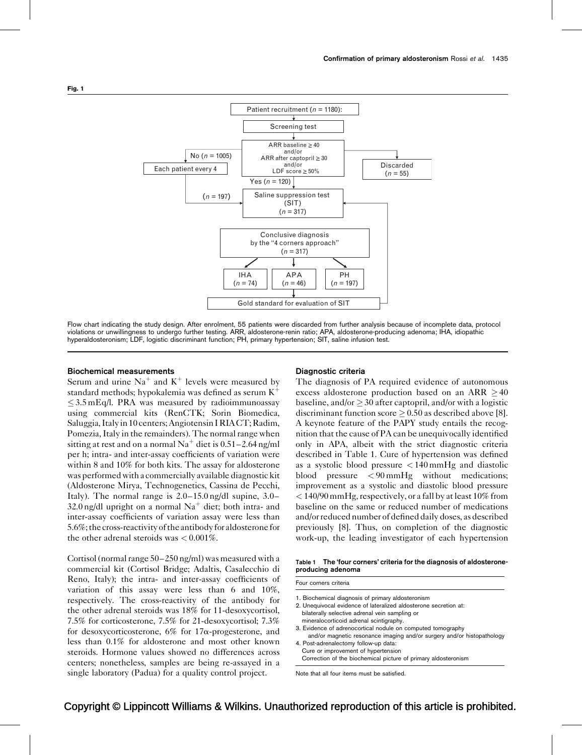<span id="page-2-0"></span>

Flow chart indicating the study design. After enrolment, 55 patients were discarded from further analysis because of incomplete data, protocol violations or unwillingness to undergo further testing. ARR, aldosterone-renin ratio; APA, aldosterone-producing adenoma; IHA, idiopathic hyperaldosteronism; LDF, logistic discriminant function; PH, primary hypertension; SIT, saline infusion test.

#### Biochemical measurements

Serum and urine  $Na<sup>+</sup>$  and  $K<sup>+</sup>$  levels were measured by standard methods; hypokalemia was defined as serum  $K^+$  $\leq$  3.5 mEq/l. PRA was measured by radioimmunoassay using commercial kits (RenCTK; Sorin Biomedica, Saluggia, Italy in 10 centers; Angiotensin I RIA CT; Radim, Pomezia, Italy in the remainders). The normal range when sitting at rest and on a normal  $Na<sup>+</sup>$  diet is 0.51–2.64 ng/ml per h; intra- and inter-assay coefficients of variation were within 8 and 10% for both kits. The assay for aldosterone was performed with a commercially available diagnostic kit (Aldosterone Mirya, Technogenetics, Cassina de Pecchi, Italy). The normal range is 2.0–15.0 ng/dl supine, 3.0– 32.0 ng/dl upright on a normal  $Na<sup>+</sup>$  diet; both intra- and inter-assay coefficients of variation assay were less than 5.6%;thecross-reactivity oftheantibodyfor aldosteronefor the other adrenal steroids was < 0.001%.

Cortisol (normal range 50–250 ng/ml) was measured with a commercial kit (Cortisol Bridge; Adaltis, Casalecchio di Reno, Italy); the intra- and inter-assay coefficients of variation of this assay were less than 6 and 10%, respectively. The cross-reactivity of the antibody for the other adrenal steroids was 18% for 11-desoxycortisol, 7.5% for corticosterone, 7.5% for 21-desoxycortisol; 7.3% for desoxycorticosterone,  $6\%$  for  $17\alpha$ -progesterone, and less than 0.1% for aldosterone and most other known steroids. Hormone values showed no differences across centers; nonetheless, samples are being re-assayed in a single laboratory (Padua) for a quality control project.

#### Diagnostic criteria

The diagnosis of PA required evidence of autonomous excess aldosterone production based on an ARR  $\geq$  40 baseline, and/or  $> 30$  after captopril, and/or with a logistic discriminant function score  $\geq 0.50$  as described above [\[8\]](#page-9-0). A keynote feature of the PAPY study entails the recognition that the cause of PA can be unequivocally identified only in APA, albeit with the strict diagnostic criteria described in Table 1. Cure of hypertension was defined as a systolic blood pressure  $\langle 140 \text{ mmHg} \rangle$  and diastolic blood pressure < 90 mmHg without medications; improvement as a systolic and diastolic blood pressure < 140/90 mmHg, respectively, or a fall by at least 10% from baseline on the same or reduced number of medications and/or reduced number of defined daily doses, as described previously [\[8\].](#page-9-0) Thus, on completion of the diagnostic work-up, the leading investigator of each hypertension

#### Table 1 The 'four corners' criteria for the diagnosis of aldosteroneproducing adenoma

Four corners criteria

- 1. Biochemical diagnosis of primary aldosteronism
- 2. Unequivocal evidence of lateralized aldosterone secretion at: bilaterally selective adrenal vein sampling or
- mineralocorticoid adrenal scintigraphy. 3. Evidence of adrenocortical nodule on computed tomography
- and/or magnetic resonance imaging and/or surgery and/or histopathology 4. Post-adrenalectomy follow-up data:
- Cure or improvement of hypertension Correction of the biochemical picture of primary aldosteronism

Note that all four items must be satisfied.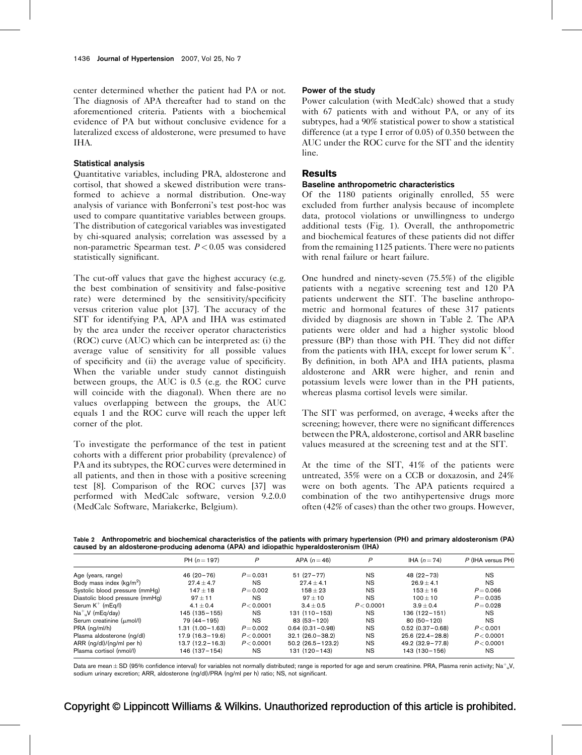center determined whether the patient had PA or not. The diagnosis of APA thereafter had to stand on the aforementioned criteria. Patients with a biochemical evidence of PA but without conclusive evidence for a lateralized excess of aldosterone, were presumed to have IHA.

#### Statistical analysis

Quantitative variables, including PRA, aldosterone and cortisol, that showed a skewed distribution were transformed to achieve a normal distribution. One-way analysis of variance with Bonferroni's test post-hoc was used to compare quantitative variables between groups. The distribution of categorical variables was investigated by chi-squared analysis; correlation was assessed by a non-parametric Spearman test.  $P < 0.05$  was considered statistically significant.

The cut-off values that gave the highest accuracy (e.g. the best combination of sensitivity and false-positive rate) were determined by the sensitivity/specificity versus criterion value plot [\[37\].](#page-9-0) The accuracy of the SIT for identifying PA, APA and IHA was estimated by the area under the receiver operator characteristics (ROC) curve (AUC) which can be interpreted as: (i) the average value of sensitivity for all possible values of specificity and (ii) the average value of specificity. When the variable under study cannot distinguish between groups, the AUC is 0.5 (e.g. the ROC curve will coincide with the diagonal). When there are no values overlapping between the groups, the AUC equals 1 and the ROC curve will reach the upper left corner of the plot.

To investigate the performance of the test in patient cohorts with a different prior probability (prevalence) of PA and its subtypes, the ROC curves were determined in all patients, and then in those with a positive screening test [\[8\].](#page-9-0) Comparison of the ROC curves [\[37\]](#page-9-0) was performed with MedCalc software, version 9.2.0.0 (MedCalc Software, Mariakerke, Belgium).

#### Power of the study

Power calculation (with MedCalc) showed that a study with 67 patients with and without PA, or any of its subtypes, had a 90% statistical power to show a statistical difference (at a type I error of 0.05) of 0.350 between the AUC under the ROC curve for the SIT and the identity line.

## **Results**

#### Baseline anthropometric characteristics

Of the 1180 patients originally enrolled, 55 were excluded from further analysis because of incomplete data, protocol violations or unwillingness to undergo additional tests [\(Fig. 1\)](#page-2-0). Overall, the anthropometric and biochemical features of these patients did not differ from the remaining 1125 patients. There were no patients with renal failure or heart failure.

One hundred and ninety-seven (75.5%) of the eligible patients with a negative screening test and 120 PA patients underwent the SIT. The baseline anthropometric and hormonal features of these 317 patients divided by diagnosis are shown in Table 2. The APA patients were older and had a higher systolic blood pressure (BP) than those with PH. They did not differ from the patients with IHA, except for lower serum  $K^+$ . By definition, in both APA and IHA patients, plasma aldosterone and ARR were higher, and renin and potassium levels were lower than in the PH patients, whereas plasma cortisol levels were similar.

The SIT was performed, on average, 4 weeks after the screening; however, there were no significant differences between the PRA, aldosterone, cortisol and ARR baseline values measured at the screening test and at the SIT.

At the time of the SIT, 41% of the patients were untreated, 35% were on a CCB or doxazosin, and 24% were on both agents. The APA patients required a combination of the two antihypertensive drugs more often (42% of cases) than the other two groups. However,

Table 2 Anthropometric and biochemical characteristics of the patients with primary hypertension (PH) and primary aldosteronism (PA) caused by an aldosterone-producing adenoma (APA) and idiopathic hyperaldosteronism (IHA)

|                                 | PH $(n = 197)$      | P           | APA $(n=46)$         | P          | IHA $(n=74)$        | P (IHA versus PH) |
|---------------------------------|---------------------|-------------|----------------------|------------|---------------------|-------------------|
| Age (years, range)              | $46(20-76)$         | $P = 0.031$ | $51(27-77)$          | ΝS         | $48(22-73)$         | <b>NS</b>         |
| Body mass index $(kq/m^2)$      | $27.4 \pm 4.7$      | <b>NS</b>   | $27.4 \pm 4.1$       | <b>NS</b>  | $26.9 \pm 4.1$      | <b>NS</b>         |
| Systolic blood pressure (mmHq)  | $147 + 18$          | $P = 0.002$ | $158 + 23$           | ΝS         | $153 + 16$          | $P = 0.066$       |
| Diastolic blood pressure (mmHg) | $97 + 11$           | <b>NS</b>   | $97 + 10$            | <b>NS</b>  | $100 + 10$          | $P = 0.035$       |
| Serum $K^+$ (mEq/l)             | 4.1 $\pm$ 0.4       | P < 0.0001  | $3.4 + 0.5$          | P < 0.0001 | $3.9 + 0.4$         | $P = 0.028$       |
| $Na+$ , V (mEg/day)             | 145 (135 - 155)     | <b>NS</b>   | $131(110 - 153)$     | <b>NS</b>  | $136(122 - 151)$    | <b>NS</b>         |
| Serum creatinine (umol/l)       | 79 (44 – 195)       | NS.         | $83(53 - 120)$       | <b>NS</b>  | $80(50 - 120)$      | <b>NS</b>         |
| PRA (ng/ml/h)                   | $1.31(1.00 - 1.63)$ | $P = 0.002$ | $0.64$ (0.31 - 0.98) | <b>NS</b>  | $0.52(0.37 - 0.68)$ | P < 0.001         |
| Plasma aldosterone (ng/dl)      | $17.9(16.3 - 19.6)$ | P < 0.0001  | $32.1(26.0-38.2)$    | <b>NS</b>  | $25.6(22.4-28.8)$   | P < 0.0001        |
| ARR $(ng/dl)/(ng/ml$ per h)     | $13.7(12.2 - 16.3)$ | P < 0.0001  | $50.2(26.5 - 123.2)$ | <b>NS</b>  | $49.2(32.9 - 77.8)$ | P < 0.0001        |
| Plasma cortisol (nmol/l)        | 146 (137 – 154)     | NS.         | 131 (120-143)        | <b>NS</b>  | 143 (130 - 156)     | <b>NS</b>         |

Data are mean $\pm$  SD (95% confidence interval) for variables not normally distributed; range is reported for age and serum creatinine. PRA, Plasma renin activity; Na $^+$ <sub>u</sub>V, sodium urinary excretion; ARR, aldosterone (ng/dl)/PRA (ng/ml per h) ratio; NS, not significant.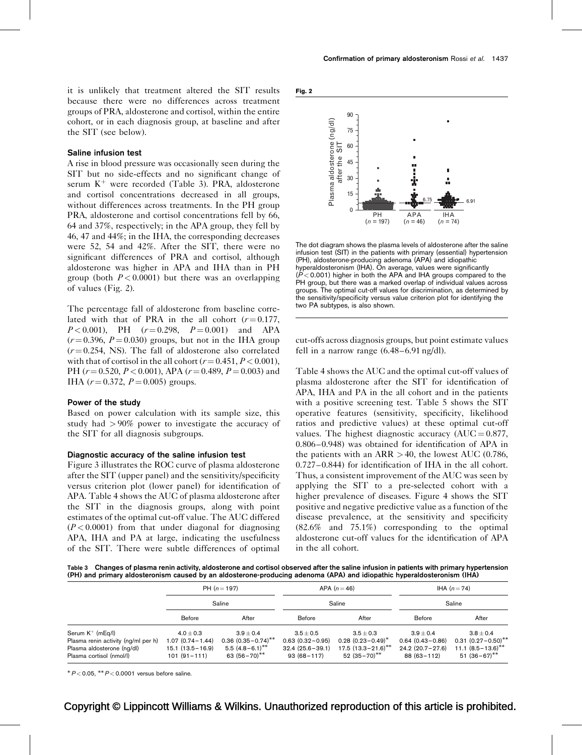<span id="page-4-0"></span>it is unlikely that treatment altered the SIT results because there were no differences across treatment groups of PRA, aldosterone and cortisol, within the entire cohort, or in each diagnosis group, at baseline and after the SIT (see below).

#### Saline infusion test

A rise in blood pressure was occasionally seen during the SIT but no side-effects and no significant change of serum  $K^+$  were recorded (Table 3). PRA, aldosterone and cortisol concentrations decreased in all groups, without differences across treatments. In the PH group PRA, aldosterone and cortisol concentrations fell by 66, 64 and 37%, respectively; in the APA group, they fell by 46, 47 and 44%; in the IHA, the corresponding decreases were 52, 54 and 42%. After the SIT, there were no significant differences of PRA and cortisol, although aldosterone was higher in APA and IHA than in PH group (both  $P < 0.0001$ ) but there was an overlapping of values (Fig. 2).

The percentage fall of aldosterone from baseline correlated with that of PRA in the all cohort  $(r=0.177,$  $P < 0.001$ ), PH  $(r = 0.298, P = 0.001)$  and APA  $(r=0.396, P=0.030)$  groups, but not in the IHA group  $(r = 0.254, NS)$ . The fall of aldosterone also correlated with that of cortisol in the all cohort  $(r = 0.451, P < 0.001)$ , PH ( $r = 0.520$ ,  $P < 0.001$ ), APA ( $r = 0.489$ ,  $P = 0.003$ ) and IHA  $(r = 0.372, P = 0.005)$  groups.

#### Power of the study

Based on power calculation with its sample size, this study had > 90% power to investigate the accuracy of the SIT for all diagnosis subgroups.

#### Diagnostic accuracy of the saline infusion test

[Figure 3](#page-5-0) illustrates the ROC curve of plasma aldosterone after the SIT (upper panel) and the sensitivity/specificity versus criterion plot (lower panel) for identification of APA. [Table 4](#page-5-0) shows the AUC of plasma aldosterone after the SIT in the diagnosis groups, along with point estimates of the optimal cut-off value. The AUC differed  $(P<0.0001)$  from that under diagonal for diagnosing APA, IHA and PA at large, indicating the usefulness of the SIT. There were subtle differences of optimal





The dot diagram shows the plasma levels of aldosterone after the saline infusion test (SIT) in the patients with primary (essential) hypertension (PH), aldosterone-producing adenoma (APA) and idiopathic hyperaldosteronism (IHA). On average, values were significantly  $(P< 0.001)$  higher in both the APA and IHA groups compared to the PH group, but there was a marked overlap of individual values across groups. The optimal cut-off values for discrimination, as determined by the sensitivity/specificity versus value criterion plot for identifying the two PA subtypes, is also shown.

cut-offs across diagnosis groups, but point estimate values fell in a narrow range (6.48–6.91 ng/dl).

[Table 4](#page-5-0) shows the AUC and the optimal cut-off values of plasma aldosterone after the SIT for identification of APA, IHA and PA in the all cohort and in the patients with a positive screening test. [Table 5](#page-6-0) shows the SIT operative features (sensitivity, specificity, likelihood ratios and predictive values) at these optimal cut-off values. The highest diagnostic accuracy  $(AUC = 0.877,$ 0.806–0.948) was obtained for identification of APA in the patients with an  $ARR > 40$ , the lowest AUC (0.786, 0.727–0.844) for identification of IHA in the all cohort. Thus, a consistent improvement of the AUC was seen by applying the SIT to a pre-selected cohort with a higher prevalence of diseases. [Figure 4](#page-6-0) shows the SIT positive and negative predictive value as a function of the disease prevalence, at the sensitivity and specificity (82.6% and 75.1%) corresponding to the optimal aldosterone cut-off values for the identification of APA in the all cohort.

Table 3 Changes of plasma renin activity, aldosterone and cortisol observed after the saline infusion in patients with primary hypertension (PH) and primary aldosteronism caused by an aldosterone-producing adenoma (APA) and idiopathic hyperaldosteronism (IHA)

|                                                                                                                      | PH $(n = 197)$<br>Saline                                                       |                                                                                          | APA $(n = 46)$<br>Saline                                                  |                                                                                | <b>IHA</b> $(n=74)$<br>Saline                                             |                                                                                   |
|----------------------------------------------------------------------------------------------------------------------|--------------------------------------------------------------------------------|------------------------------------------------------------------------------------------|---------------------------------------------------------------------------|--------------------------------------------------------------------------------|---------------------------------------------------------------------------|-----------------------------------------------------------------------------------|
|                                                                                                                      |                                                                                |                                                                                          |                                                                           |                                                                                |                                                                           |                                                                                   |
|                                                                                                                      | Before                                                                         | After                                                                                    | <b>Before</b>                                                             | After                                                                          | Before                                                                    | After                                                                             |
| Serum $K^+$ (mEq/l)<br>Plasma renin activity (ng/ml per h)<br>Plasma aldosterone (ng/dl)<br>Plasma cortisol (nmol/l) | $4.0 \pm 0.3$<br>$1.07(0.74 - 1.44)$<br>$15.1(13.5 - 16.9)$<br>$101(91 - 111)$ | $3.9 + 0.4$<br>$0.36$ $(0.35 - 0.74)$ **<br>$5.5(4.8-6.1)$ <sup>**</sup><br>63 (56-70)** | $3.5 + 0.5$<br>$0.63(0.32 - 0.95)$<br>$32.4(25.6-39.1)$<br>$93(68 - 117)$ | $3.5 + 0.3$<br>$0.28(0.23 - 0.49)^*$<br>$17.5(13.3-21.6)$ **<br>$52(35-70)$ ** | $3.9 + 0.4$<br>$0.64(0.43 - 0.86)$<br>$24.2(20.7-27.6)$<br>$88(63 - 112)$ | $3.8 + 0.4$<br>$0.31(0.27 - 0.50)$ **<br>$11.1 (8.5 - 13.6)$ **<br>$51(36-67)$ ** |

 $P < 0.05$ , \*\*  $P < 0.0001$  versus before saline.

Copyright © Lippincott Williams & Wilkins. Unauthorized reproduction of this article is prohibited.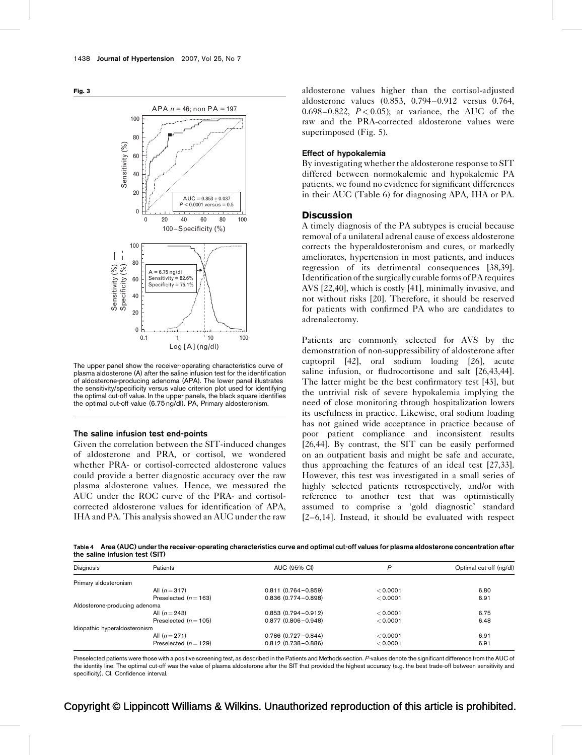<span id="page-5-0"></span>



The upper panel show the receiver-operating characteristics curve of plasma aldosterone (A) after the saline infusion test for the identification of aldosterone-producing adenoma (APA). The lower panel illustrates the sensitivity/specificity versus value criterion plot used for identifying the optimal cut-off value. In the upper panels, the black square identifies the optimal cut-off value (6.75 ng/dl). PA, Primary aldosteronism.

#### The saline infusion test end-points

Given the correlation between the SIT-induced changes of aldosterone and PRA, or cortisol, we wondered whether PRA- or cortisol-corrected aldosterone values could provide a better diagnostic accuracy over the raw plasma aldosterone values. Hence, we measured the AUC under the ROC curve of the PRA- and cortisolcorrected aldosterone values for identification of APA, IHA and PA. This analysis showed an AUC under the raw

aldosterone values higher than the cortisol-adjusted aldosterone values (0.853, 0.794–0.912 versus 0.764, 0.698–0.822,  $P < 0.05$ ); at variance, the AUC of the raw and the PRA-corrected aldosterone values were superimposed ([Fig. 5\)](#page-6-0).

#### Effect of hypokalemia

By investigating whether the aldosterone response to SIT differed between normokalemic and hypokalemic PA patients, we found no evidence for significant differences in their AUC [\(Table 6\)](#page-7-0) for diagnosing APA, IHA or PA.

#### **Discussion**

A timely diagnosis of the PA subtypes is crucial because removal of a unilateral adrenal cause of excess aldosterone corrects the hyperaldosteronism and cures, or markedly ameliorates, hypertension in most patients, and induces regression of its detrimental consequences [\[38,39\]](#page-9-0). Identification of the surgically curable forms of PA requires AVS [\[22,40\],](#page-9-0) which is costly [\[41\],](#page-9-0) minimally invasive, and not without risks [\[20\].](#page-9-0) Therefore, it should be reserved for patients with confirmed PA who are candidates to adrenalectomy.

Patients are commonly selected for AVS by the demonstration of non-suppressibility of aldosterone after captopril [\[42\]](#page-9-0), oral sodium loading [\[26\]](#page-9-0), acute saline infusion, or fludrocortisone and salt [\[26,43,44\]](#page-9-0). The latter might be the best confirmatory test [\[43\],](#page-9-0) but the untrivial risk of severe hypokalemia implying the need of close monitoring through hospitalization lowers its usefulness in practice. Likewise, oral sodium loading has not gained wide acceptance in practice because of poor patient compliance and inconsistent results [\[26,44\].](#page-9-0) By contrast, the SIT can be easily performed on an outpatient basis and might be safe and accurate, thus approaching the features of an ideal test [\[27,33\]](#page-9-0). However, this test was investigated in a small series of highly selected patients retrospectively, and/or with reference to another test that was optimistically assumed to comprise a 'gold diagnostic' standard [\[2–6,14\]](#page-9-0). Instead, it should be evaluated with respect

Table 4 Area (AUC) under the receiver-operating characteristics curve and optimal cut-off values for plasma aldosterone concentration after the saline infusion test (SIT)

| Diagnosis                     | Patients                | AUC (95% CI)           | P        | Optimal cut-off (ng/dl) |
|-------------------------------|-------------------------|------------------------|----------|-------------------------|
| Primary aldosteronism         |                         |                        |          |                         |
|                               | All $(n=317)$           | $0.811(0.764 - 0.859)$ | < 0.0001 | 6.80                    |
|                               | Preselected $(n=163)$   | $0.836(0.774 - 0.898)$ | < 0.0001 | 6.91                    |
| Aldosterone-producing adenoma |                         |                        |          |                         |
|                               | All $(n=243)$           | $0.853(0.794 - 0.912)$ | < 0.0001 | 6.75                    |
|                               | Preselected $(n = 105)$ | $0.877(0.806 - 0.948)$ | < 0.0001 | 6.48                    |
| Idiopathic hyperaldosteronism |                         |                        |          |                         |
|                               | All $(n=271)$           | $0.786(0.727 - 0.844)$ | < 0.0001 | 6.91                    |
|                               | Preselected $(n=129)$   | $0.812(0.738 - 0.886)$ | < 0.0001 | 6.91                    |

Preselected patients were those with a positive screening test, as described in the Patients and Methods section. P-values denote the significant difference from the AUC of the identity line. The optimal cut-off was the value of plasma aldosterone after the SIT that provided the highest accuracy (e.g. the best trade-off between sensitivity and specificity). CI, Confidence interval.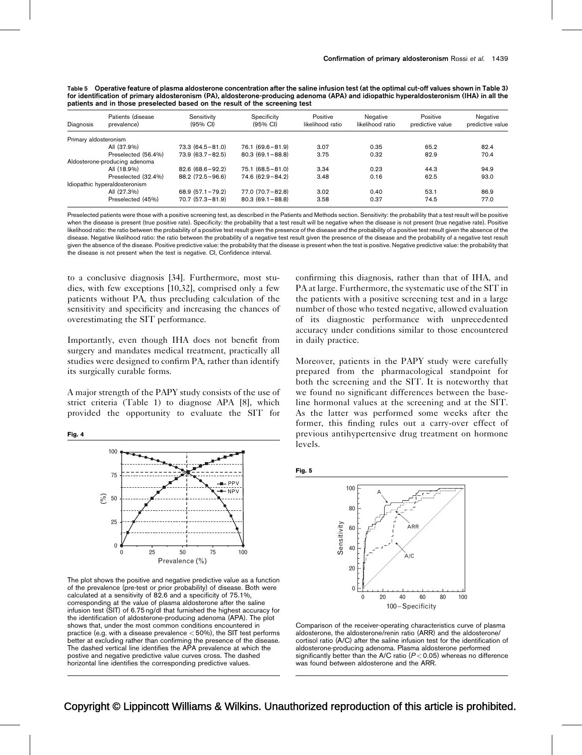<span id="page-6-0"></span>

| Table 5 Operative feature of plasma aldosterone concentration after the saline infusion test (at the optimal cut-off values shown in Table 3) |  |
|-----------------------------------------------------------------------------------------------------------------------------------------------|--|
| for identification of primary aldosteronism (PA), aldosterone-producing adenoma (APA) and idiopathic hyperaldosteronism (IHA) in all the      |  |
| patients and in those preselected based on the result of the screening test                                                                   |  |

| Diagnosis             | Patients (disease<br>prevalence) | Sensitivity<br>$(95% \nCl)$ | Specificity<br>$(95% \text{ Cl})$ | Positive<br>likelihood ratio | Negative<br>likelihood ratio | Positive<br>predictive value | Negative<br>predictive value |
|-----------------------|----------------------------------|-----------------------------|-----------------------------------|------------------------------|------------------------------|------------------------------|------------------------------|
| Primary aldosteronism |                                  |                             |                                   |                              |                              |                              |                              |
|                       | All (37.9%)                      | $73.3(64.5 - 81.0)$         | $76.1 (69.6 - 81.9)$              | 3.07                         | 0.35                         | 65.2                         | 82.4                         |
|                       | Preselected (56.4%)              | $73.9(63.7-82.5)$           | $80.3(69.1 - 88.8)$               | 3.75                         | 0.32                         | 82.9                         | 70.4                         |
|                       | Aldosterone-producing adenoma    |                             |                                   |                              |                              |                              |                              |
|                       | All (18.9%)                      | $82.6(68.6 - 92.2)$         | $75.1(68.5 - 81.0)$               | 3.34                         | 0.23                         | 44.3                         | 94.9                         |
|                       | Preselected (32.4%)              | $88.2(72.5 - 96.6)$         | $74.6(62.9 - 84.2)$               | 3.48                         | 0.16                         | 62.5                         | 93.0                         |
|                       | Idiopathic hyperaldosteronism    |                             |                                   |                              |                              |                              |                              |
|                       | All (27.3%)                      | $68.9(57.1 - 79.2)$         | $77.0(70.7-82.8)$                 | 3.02                         | 0.40                         | 53.1                         | 86.9                         |
|                       | Preselected (45%)                | $70.7(57.3 - 81.9)$         | $80.3(69.1 - 88.8)$               | 3.58                         | 0.37                         | 74.5                         | 77.0                         |

Preselected patients were those with a positive screening test, as described in the Patients and Methods section. Sensitivity: the probability that a test result will be positive when the disease is present (true positive rate). Specificity: the probability that a test result will be negative when the disease is not present (true negative rate). Positive likelihood ratio: the ratio between the probability of a positive test result given the presence of the disease and the probability of a positive test result given the absence of the disease. Negative likelihood ratio: the ratio between the probability of a negative test result given the presence of the disease and the probability of a negative test result given the absence of the disease. Positive predictive value: the probability that the disease is present when the test is positive. Negative predictive value: the probability that the disease is not present when the test is negative. CI, Confidence interval.

to a conclusive diagnosis [\[34\]](#page-9-0). Furthermore, most studies, with few exceptions [\[10,32\]](#page-9-0), comprised only a few patients without PA, thus precluding calculation of the sensitivity and specificity and increasing the chances of overestimating the SIT performance.

Importantly, even though IHA does not benefit from surgery and mandates medical treatment, practically all studies were designed to confirm PA, rather than identify its surgically curable forms.

A major strength of the PAPY study consists of the use of strict criteria ([Table 1\)](#page-2-0) to diagnose APA [\[8\]](#page-9-0), which provided the opportunity to evaluate the SIT for

Fig. 4



The plot shows the positive and negative predictive value as a function of the prevalence (pre-test or prior probability) of disease. Both were calculated at a sensitivity of 82.6 and a specificity of 75.1%, corresponding at the value of plasma aldosterone after the saline infusion test (SIT) of 6.75 ng/dl that furnished the highest accuracy for the identification of aldosterone-producing adenoma (APA). The plot shows that, under the most common conditions encountered in practice (e.g. with a disease prevalence < 50%), the SIT test performs better at excluding rather than confirming the presence of the disease. The dashed vertical line identifies the APA prevalence at which the postive and negative predictive value curves cross. The dashed horizontal line identifies the corresponding predictive values.

confirming this diagnosis, rather than that of IHA, and PA at large. Furthermore, the systematic use of the SIT in the patients with a positive screening test and in a large number of those who tested negative, allowed evaluation of its diagnostic performance with unprecedented accuracy under conditions similar to those encountered in daily practice.

Moreover, patients in the PAPY study were carefully prepared from the pharmacological standpoint for both the screening and the SIT. It is noteworthy that we found no significant differences between the baseline hormonal values at the screening and at the SIT. As the latter was performed some weeks after the former, this finding rules out a carry-over effect of previous antihypertensive drug treatment on hormone levels.

Fig. 5



Comparison of the receiver-operating characteristics curve of plasma aldosterone, the aldosterone/renin ratio (ARR) and the aldosterone/ cortisol ratio (A/C) after the saline infusion test for the identification of aldosterone-producing adenoma. Plasma aldosterone performed significantly better than the A/C ratio ( $P < 0.05$ ) whereas no difference was found between aldosterone and the ARR.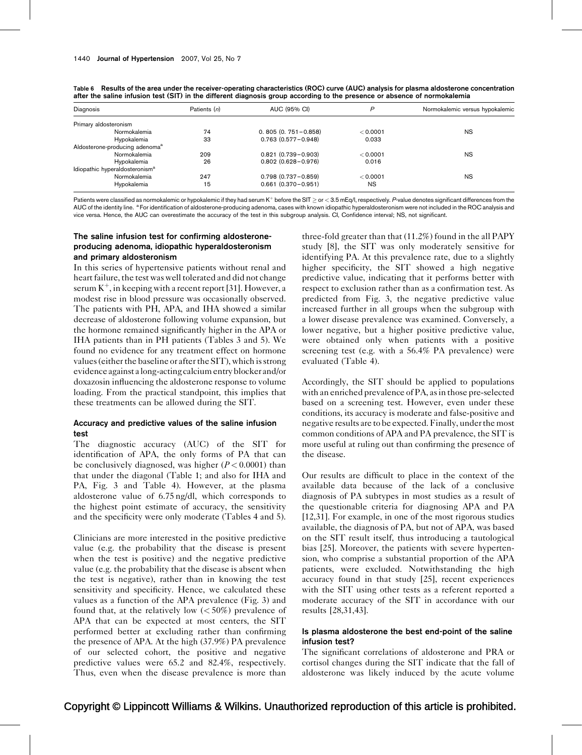| Diagnosis                                  | Patients (n) | AUC (95% CI)              |           | Normokalemic versus hypokalemic |  |
|--------------------------------------------|--------------|---------------------------|-----------|---------------------------------|--|
| Primary aldosteronism                      |              |                           |           |                                 |  |
| Normokalemia                               | 74           | $0.805(0.751 - 0.858)$    | < 0.0001  | <b>NS</b>                       |  |
| Hypokalemia                                | 33           | $0.763$ $(0.577 - 0.948)$ | 0.033     |                                 |  |
| Aldosterone-producing adenoma <sup>a</sup> |              |                           |           |                                 |  |
| Normokalemia                               | 209          | $0.821(0.739 - 0.903)$    | < 0.0001  | <b>NS</b>                       |  |
| Hypokalemia                                | 26           | $0.802(0.628 - 0.976)$    | 0.016     |                                 |  |
| Idiopathic hyperaldosteronism <sup>a</sup> |              |                           |           |                                 |  |
| Normokalemia                               | 247          | $0.798$ $(0.737 - 0.859)$ | < 0.0001  | <b>NS</b>                       |  |
| Hypokalemia                                | 15           | $0.661(0.370 - 0.951)$    | <b>NS</b> |                                 |  |

<span id="page-7-0"></span>Table 6 Results of the area under the receiver-operating characteristics (ROC) curve (AUC) analysis for plasma aldosterone concentration after the saline infusion test (SIT) in the different diagnosis group according to the presence or absence of normokalemia

Patients were classified as normokalemic or hypokalemic if they had serum K<sup>+</sup> before the SIT  $\geq$  or  $<$  3.5 mEq/l, respectively. P-value denotes significant differences from the AUC of the identity line. <sup>a</sup> For identification of aldosterone-producing adenoma, cases with known idiopathic hyperaldosteronism were not included in the ROC analysis and vice versa. Hence, the AUC can overestimate the accuracy of the test in this subgroup analysis. CI, Confidence interval; NS, not significant.

## The saline infusion test for confirming aldosteroneproducing adenoma, idiopathic hyperaldosteronism and primary aldosteronism

In this series of hypertensive patients without renal and heart failure, the test was well tolerated and did not change serum  $K^+$ , in keeping with a recent report [\[31\].](#page-9-0) However, a modest rise in blood pressure was occasionally observed. The patients with PH, APA, and IHA showed a similar decrease of aldosterone following volume expansion, but the hormone remained significantly higher in the APA or IHA patients than in PH patients ([Tables 3 and 5](#page-4-0)). We found no evidence for any treatment effect on hormone values (either the baseline or after the SIT), which is strong evidence against a long-acting calcium entry blocker and/or doxazosin influencing the aldosterone response to volume loading. From the practical standpoint, this implies that these treatments can be allowed during the SIT.

## Accuracy and predictive values of the saline infusion test

The diagnostic accuracy (AUC) of the SIT for identification of APA, the only forms of PA that can be conclusively diagnosed, was higher  $(P < 0.0001)$  than that under the diagonal ([Table 1;](#page-2-0) and also for IHA and PA, [Fig. 3](#page-5-0) and [Table 4](#page-5-0)). However, at the plasma aldosterone value of 6.75 ng/dl, which corresponds to the highest point estimate of accuracy, the sensitivity and the specificity were only moderate [\(Tables 4 and 5](#page-5-0)).

Clinicians are more interested in the positive predictive value (e.g. the probability that the disease is present when the test is positive) and the negative predictive value (e.g. the probability that the disease is absent when the test is negative), rather than in knowing the test sensitivity and specificity. Hence, we calculated these values as a function of the APA prevalence ([Fig. 3\)](#page-5-0) and found that, at the relatively low  $(< 50\%)$  prevalence of APA that can be expected at most centers, the SIT performed better at excluding rather than confirming the presence of APA. At the high (37.9%) PA prevalence of our selected cohort, the positive and negative predictive values were 65.2 and 82.4%, respectively. Thus, even when the disease prevalence is more than three-fold greater than that (11.2%) found in the all PAPY study [\[8\],](#page-9-0) the SIT was only moderately sensitive for identifying PA. At this prevalence rate, due to a slightly higher specificity, the SIT showed a high negative predictive value, indicating that it performs better with respect to exclusion rather than as a confirmation test. As predicted from [Fig. 3,](#page-5-0) the negative predictive value increased further in all groups when the subgroup with a lower disease prevalence was examined. Conversely, a lower negative, but a higher positive predictive value, were obtained only when patients with a positive screening test (e.g. with a 56.4% PA prevalence) were evaluated ([Table 4](#page-5-0)).

Accordingly, the SIT should be applied to populations with an enriched prevalence of PA, as in those pre-selected based on a screening test. However, even under these conditions, its accuracy is moderate and false-positive and negative results are to be expected. Finally, under the most common conditions of APA and PA prevalence, the SIT is more useful at ruling out than confirming the presence of the disease.

Our results are difficult to place in the context of the available data because of the lack of a conclusive diagnosis of PA subtypes in most studies as a result of the questionable criteria for diagnosing APA and PA [\[12,31\].](#page-9-0) For example, in one of the most rigorous studies available, the diagnosis of PA, but not of APA, was based on the SIT result itself, thus introducing a tautological bias [\[25\].](#page-9-0) Moreover, the patients with severe hypertension, who comprise a substantial proportion of the APA patients, were excluded. Notwithstanding the high accuracy found in that study [\[25\],](#page-9-0) recent experiences with the SIT using other tests as a referent reported a moderate accuracy of the SIT in accordance with our results [\[28,31,43\]](#page-9-0).

## Is plasma aldosterone the best end-point of the saline infusion test?

The significant correlations of aldosterone and PRA or cortisol changes during the SIT indicate that the fall of aldosterone was likely induced by the acute volume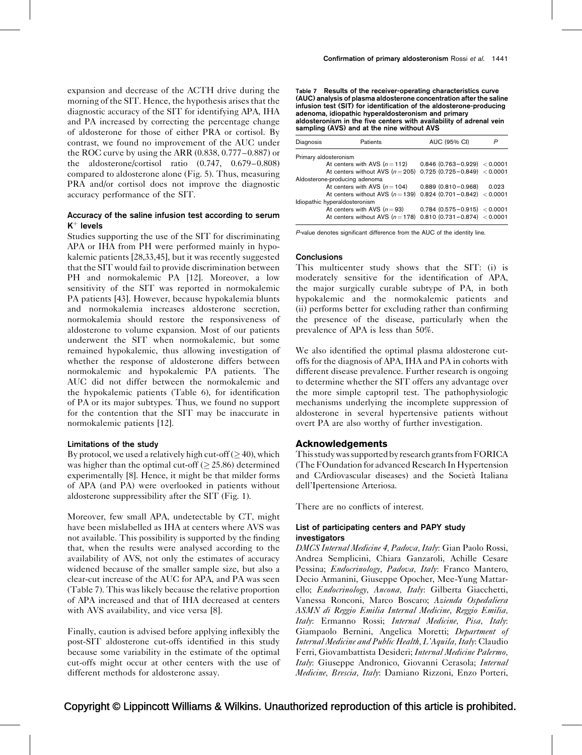expansion and decrease of the ACTH drive during the morning of the SIT. Hence, the hypothesis arises that the diagnostic accuracy of the SIT for identifying APA, IHA and PA increased by correcting the percentage change of aldosterone for those of either PRA or cortisol. By contrast, we found no improvement of the AUC under the ROC curve by using the ARR (0.838, 0.777–0.887) or the aldosterone/cortisol ratio (0.747, 0.679–0.808) compared to aldosterone alone ([Fig. 5](#page-6-0)). Thus, measuring PRA and/or cortisol does not improve the diagnostic accuracy performance of the SIT.

## Accuracy of the saline infusion test according to serum  $K^+$  levels

Studies supporting the use of the SIT for discriminating APA or IHA from PH were performed mainly in hypokalemic patients [\[28,33,45\],](#page-9-0) but it was recently suggested that the SIT would fail to provide discrimination between PH and normokalemic PA [\[12\]](#page-9-0). Moreover, a low sensitivity of the SIT was reported in normokalemic PA patients [\[43\].](#page-9-0) However, because hypokalemia blunts and normokalemia increases aldosterone secretion, normokalemia should restore the responsiveness of aldosterone to volume expansion. Most of our patients underwent the SIT when normokalemic, but some remained hypokalemic, thus allowing investigation of whether the response of aldosterone differs between normokalemic and hypokalemic PA patients. The AUC did not differ between the normokalemic and the hypokalemic patients ([Table 6\)](#page-7-0), for identification of PA or its major subtypes. Thus, we found no support for the contention that the SIT may be inaccurate in normokalemic patients [\[12\]](#page-9-0).

#### Limitations of the study

By protocol, we used a relatively high cut-off ( $\geq$  40), which was higher than the optimal cut-off ( $>$  25.86) determined experimentally [\[8\]](#page-9-0). Hence, it might be that milder forms of APA (and PA) were overlooked in patients without aldosterone suppressibility after the SIT [\(Fig. 1](#page-2-0)).

Moreover, few small APA, undetectable by CT, might have been mislabelled as IHA at centers where AVS was not available. This possibility is supported by the finding that, when the results were analysed according to the availability of AVS, not only the estimates of accuracy widened because of the smaller sample size, but also a clear-cut increase of the AUC for APA, and PA was seen (Table 7). This was likely because the relative proportion of APA increased and that of IHA decreased at centers with AVS availability, and vice versa [\[8\]](#page-9-0).

Finally, caution is advised before applying inflexibly the post-SIT aldosterone cut-offs identified in this study because some variability in the estimate of the optimal cut-offs might occur at other centers with the use of different methods for aldosterone assay.

Table 7 Results of the receiver-operating characteristics curve (AUC) analysis of plasma aldosterone concentration after the saline infusion test (SIT) for identification of the aldosterone-producing adenoma, idiopathic hyperaldosteronism and primary aldosteronism in the five centers with availability of adrenal vein sampling (AVS) and at the nine without AVS

| Diagnosis                     | Patients                                                      | AUC (95% CI)                     |       |  |  |  |
|-------------------------------|---------------------------------------------------------------|----------------------------------|-------|--|--|--|
| Primary aldosteronism         |                                                               |                                  |       |  |  |  |
|                               | At centers with AVS $(n=112)$                                 | $0.846$ (0.763 - 0.929) < 0.0001 |       |  |  |  |
|                               | At centers without AVS $(n = 205)$                            | $0.725(0.725 - 0.849) < 0.0001$  |       |  |  |  |
|                               | Aldosterone-producing adenoma                                 |                                  |       |  |  |  |
|                               | At centers with AVS $(n = 104)$                               | $0.889$ $(0.810 - 0.968)$        | 0.023 |  |  |  |
|                               | At centers without AVS $(n = 139)$                            | $0.824$ (0.701 - 0.842) < 0.0001 |       |  |  |  |
| Idiopathic hyperaldosteronism |                                                               |                                  |       |  |  |  |
|                               | At centers with AVS $(n=93)$                                  | $0.784$ (0.575 - 0.915) < 0.0001 |       |  |  |  |
|                               | At centers without AVS $(n=178)$ 0.810 (0.731-0.874) < 0.0001 |                                  |       |  |  |  |

P-value denotes significant difference from the AUC of the identity line.

#### **Conclusions**

This multicenter study shows that the SIT: (i) is moderately sensitive for the identification of APA, the major surgically curable subtype of PA, in both hypokalemic and the normokalemic patients and (ii) performs better for excluding rather than confirming the presence of the disease, particularly when the prevalence of APA is less than 50%.

We also identified the optimal plasma aldosterone cutoffs for the diagnosis of APA, IHA and PA in cohorts with different disease prevalence. Further research is ongoing to determine whether the SIT offers any advantage over the more simple captopril test. The pathophysiologic mechanisms underlying the incomplete suppression of aldosterone in several hypertensive patients without overt PA are also worthy of further investigation.

#### Acknowledgements

This study was supported by research grants from FORICA (The FOundation for advanced Research In Hypertension and CArdiovascular diseases) and the Societa` Italiana dell'Ipertensione Arteriosa.

There are no conflicts of interest.

#### List of participating centers and PAPY study investigators

DMCS Internal Medicine 4, Padova, Italy: Gian Paolo Rossi, Andrea Semplicini, Chiara Ganzaroli, Achille Cesare Pessina; Endocrinology, Padova, Italy: Franco Mantero, Decio Armanini, Giuseppe Opocher, Mee-Yung Mattarello; *Endocrinology*, Ancona, Italy: Gilberta Giacchetti, Vanessa Ronconi, Marco Boscaro; Azienda Ospedaliera ASMN di Reggio Emilia Internal Medicine, Reggio Emilia, Italy: Ermanno Rossi; Internal Medicine, Pisa, Italy: Giampaolo Bernini, Angelica Moretti; Department of Internal Medicine and Public Health, L'Aquila, Italy: Claudio Ferri, Giovambattista Desideri; Internal Medicine Palermo, Italy: Giuseppe Andronico, Giovanni Cerasola; Internal Medicine, Brescia, Italy: Damiano Rizzoni, Enzo Porteri,